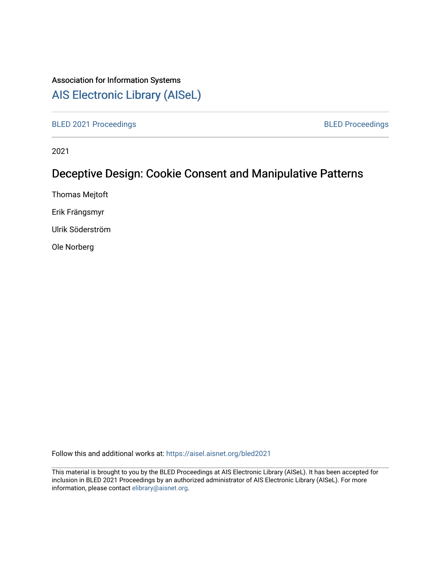## Association for Information Systems

## [AIS Electronic Library \(AISeL\)](https://aisel.aisnet.org/)

[BLED 2021 Proceedings](https://aisel.aisnet.org/bled2021) **BLED Proceedings** 

2021

# Deceptive Design: Cookie Consent and Manipulative Patterns

Thomas Mejtoft

Erik Frängsmyr

Ulrik Söderström

Ole Norberg

Follow this and additional works at: [https://aisel.aisnet.org/bled2021](https://aisel.aisnet.org/bled2021?utm_source=aisel.aisnet.org%2Fbled2021%2F36&utm_medium=PDF&utm_campaign=PDFCoverPages) 

This material is brought to you by the BLED Proceedings at AIS Electronic Library (AISeL). It has been accepted for inclusion in BLED 2021 Proceedings by an authorized administrator of AIS Electronic Library (AISeL). For more information, please contact [elibrary@aisnet.org.](mailto:elibrary@aisnet.org%3E)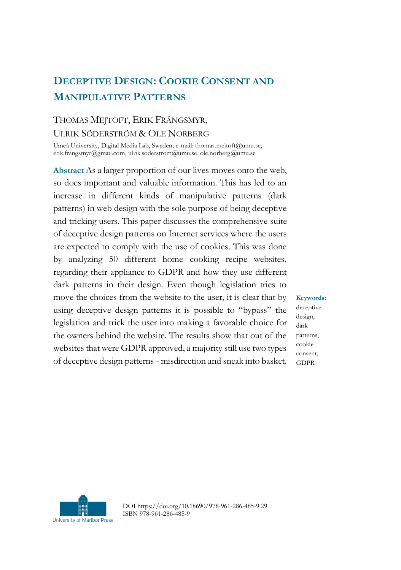## **DECEPTIVE DESIGN: COOKIE CONSENT AND MANIPULATIVE PATTERNS**

### THOMAS MEJTOFT, ERIK FRÄNGSMYR, ULRIK SÖDERSTRÖM & OLE NORBERG

Umeå University, Digital Media Lab, Sweden; e-mail: thomas.mejtoft@umu.se, erik.frangsmyr@gmail.com, ulrik.soderstrom@umu.se, ole.norberg@umu.se

**Abstract** As a larger proportion of our lives moves onto the web, so does important and valuable information. This has led to an increase in different kinds of manipulative patterns (dark patterns) in web design with the sole purpose of being deceptive and tricking users. This paper discusses the comprehensive suite of deceptive design patterns on Internet services where the users are expected to comply with the use of cookies. This was done by analyzing 50 different home cooking recipe websites, regarding their appliance to GDPR and how they use different dark patterns in their design. Even though legislation tries to move the choices from the website to the user, it is clear that by using deceptive design patterns it is possible to "bypass" the legislation and trick the user into making a favorable choice for the owners behind the website. The results show that out of the websites that were GDPR approved, a majority still use two types of deceptive design patterns - misdirection and sneak into basket.

**Keywords:** deceptive design, dark patterns, cookie consent, GDPR



DOI https://doi.org/10.18690/978-961-286-485-9.29 ISBN 978-961-286-485-9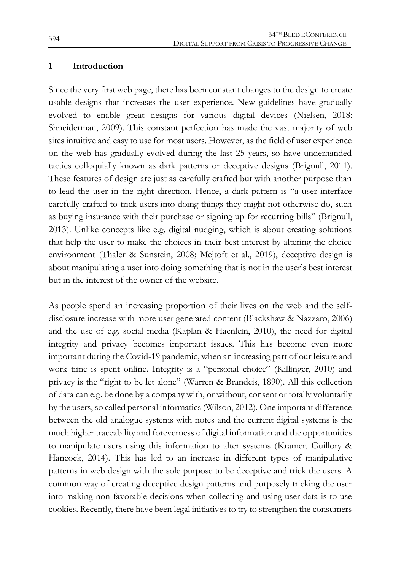#### **1 Introduction**

Since the very first web page, there has been constant changes to the design to create usable designs that increases the user experience. New guidelines have gradually evolved to enable great designs for various digital devices (Nielsen, 2018; Shneiderman, 2009). This constant perfection has made the vast majority of web sites intuitive and easy to use for most users. However, as the field of user experience on the web has gradually evolved during the last 25 years, so have underhanded tactics colloquially known as dark patterns or deceptive designs (Brignull, 2011). These features of design are just as carefully crafted but with another purpose than to lead the user in the right direction. Hence, a dark pattern is "a user interface carefully crafted to trick users into doing things they might not otherwise do, such as buying insurance with their purchase or signing up for recurring bills" (Brignull, 2013). Unlike concepts like e.g. digital nudging, which is about creating solutions that help the user to make the choices in their best interest by altering the choice environment (Thaler & Sunstein, 2008; Mejtoft et al., 2019), deceptive design is about manipulating a user into doing something that is not in the user's best interest but in the interest of the owner of the website.

As people spend an increasing proportion of their lives on the web and the selfdisclosure increase with more user generated content (Blackshaw & Nazzaro, 2006) and the use of e.g. social media (Kaplan & Haenlein, 2010), the need for digital integrity and privacy becomes important issues. This has become even more important during the Covid-19 pandemic, when an increasing part of our leisure and work time is spent online. Integrity is a "personal choice" (Killinger, 2010) and privacy is the "right to be let alone" (Warren & Brandeis, 1890). All this collection of data can e.g. be done by a company with, or without, consent or totally voluntarily by the users, so called personal informatics (Wilson, 2012). One important difference between the old analogue systems with notes and the current digital systems is the much higher traceability and foreverness of digital information and the opportunities to manipulate users using this information to alter systems (Kramer, Guillory & Hancock, 2014). This has led to an increase in different types of manipulative patterns in web design with the sole purpose to be deceptive and trick the users. A common way of creating deceptive design patterns and purposely tricking the user into making non-favorable decisions when collecting and using user data is to use cookies. Recently, there have been legal initiatives to try to strengthen the consumers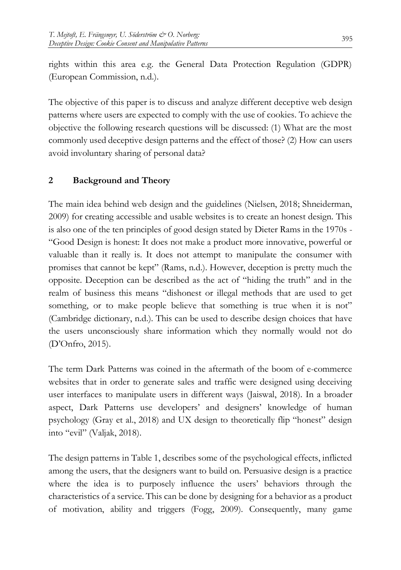rights within this area e.g. the General Data Protection Regulation (GDPR) (European Commission, n.d.).

The objective of this paper is to discuss and analyze different deceptive web design patterns where users are expected to comply with the use of cookies. To achieve the objective the following research questions will be discussed: (1) What are the most commonly used deceptive design patterns and the effect of those? (2) How can users avoid involuntary sharing of personal data?

#### **2 Background and Theory**

The main idea behind web design and the guidelines (Nielsen, 2018; Shneiderman, 2009) for creating accessible and usable websites is to create an honest design. This is also one of the ten principles of good design stated by Dieter Rams in the 1970s - "Good Design is honest: It does not make a product more innovative, powerful or valuable than it really is. It does not attempt to manipulate the consumer with promises that cannot be kept" (Rams, n.d.). However, deception is pretty much the opposite. Deception can be described as the act of "hiding the truth" and in the realm of business this means "dishonest or illegal methods that are used to get something, or to make people believe that something is true when it is not" (Cambridge dictionary, n.d.). This can be used to describe design choices that have the users unconsciously share information which they normally would not do (D'Onfro, 2015).

The term Dark Patterns was coined in the aftermath of the boom of e-commerce websites that in order to generate sales and traffic were designed using deceiving user interfaces to manipulate users in different ways (Jaiswal, 2018). In a broader aspect, Dark Patterns use developers' and designers' knowledge of human psychology (Gray et al., 2018) and UX design to theoretically flip "honest" design into "evil" (Valjak, 2018).

The design patterns in Table 1, describes some of the psychological effects, inflicted among the users, that the designers want to build on. Persuasive design is a practice where the idea is to purposely influence the users' behaviors through the characteristics of a service. This can be done by designing for a behavior as a product of motivation, ability and triggers (Fogg, 2009). Consequently, many game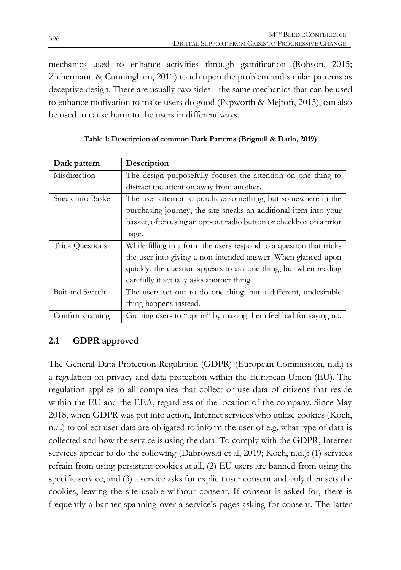mechanics used to enhance activities through gamification (Robson, 2015; Zichermann & Cunningham, 2011) touch upon the problem and similar patterns as deceptive design. There are usually two sides - the same mechanics that can be used to enhance motivation to make users do good (Papworth & Mejtoft, 2015), can also be used to cause harm to the users in different ways.

| Dark pattern           | Description                                                         |  |  |
|------------------------|---------------------------------------------------------------------|--|--|
| Misdirection           | The design purposefully focuses the attention on one thing to       |  |  |
|                        | distract the attention away from another.                           |  |  |
| Sneak into Basket      | The user attempt to purchase something, but somewhere in the        |  |  |
|                        | purchasing journey, the site sneaks an additional item into your    |  |  |
|                        | basket, often using an opt-out radio button or checkbox on a prior  |  |  |
|                        | page.                                                               |  |  |
| <b>Trick Questions</b> | While filling in a form the users respond to a question that tricks |  |  |
|                        | the user into giving a non-intended answer. When glanced upon       |  |  |
|                        | quickly, the question appears to ask one thing, but when reading    |  |  |
|                        | carefully it actually asks another thing.                           |  |  |
| Bait and Switch        | The users set out to do one thing, but a different, undesirable     |  |  |
|                        | thing happens instead.                                              |  |  |
| Confirmshaming         | Guilting users to "opt in" by making them feel bad for saying no.   |  |  |

| Table 1: Description of common Dark Patterns (Brignull & Darlo, 2019) |  |  |
|-----------------------------------------------------------------------|--|--|
|                                                                       |  |  |

### **2.1 GDPR approved**

The General Data Protection Regulation (GDPR) (European Commission, n.d.) is a regulation on privacy and data protection within the European Union (EU). The regulation applies to all companies that collect or use data of citizens that reside within the EU and the EEA, regardless of the location of the company. Since May 2018, when GDPR was put into action, Internet services who utilize cookies (Koch, n.d.) to collect user data are obligated to inform the user of e.g. what type of data is collected and how the service is using the data. To comply with the GDPR, Internet services appear to do the following (Dabrowski et al, 2019; Koch, n.d.): (1) services refrain from using persistent cookies at all, (2) EU users are banned from using the specific service, and (3) a service asks for explicit user consent and only then sets the cookies, leaving the site usable without consent. If consent is asked for, there is frequently a banner spanning over a service's pages asking for consent. The latter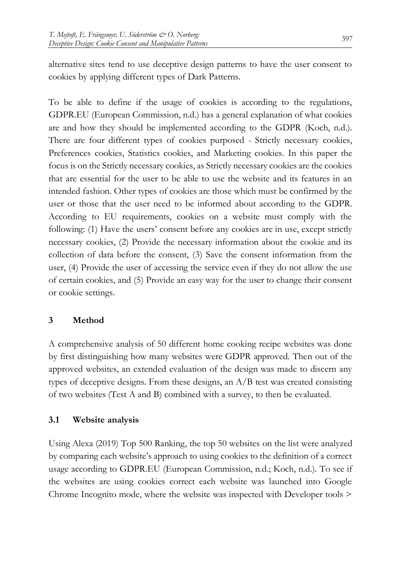alternative sites tend to use deceptive design patterns to have the user consent to cookies by applying different types of Dark Patterns.

To be able to define if the usage of cookies is according to the regulations, GDPR.EU (European Commission, n.d.) has a general explanation of what cookies are and how they should be implemented according to the GDPR (Koch, n.d.). There are four different types of cookies purposed - Strictly necessary cookies, Preferences cookies, Statistics cookies, and Marketing cookies. In this paper the focus is on the Strictly necessary cookies, as Strictly necessary cookies are the cookies that are essential for the user to be able to use the website and its features in an intended fashion. Other types of cookies are those which must be confirmed by the user or those that the user need to be informed about according to the GDPR. According to EU requirements, cookies on a website must comply with the following: (1) Have the users' consent before any cookies are in use, except strictly necessary cookies, (2) Provide the necessary information about the cookie and its collection of data before the consent, (3) Save the consent information from the user, (4) Provide the user of accessing the service even if they do not allow the use of certain cookies, and (5) Provide an easy way for the user to change their consent or cookie settings.

#### **3 Method**

A comprehensive analysis of 50 different home cooking recipe websites was done by first distinguishing how many websites were GDPR approved. Then out of the approved websites, an extended evaluation of the design was made to discern any types of deceptive designs. From these designs, an A/B test was created consisting of two websites (Test A and B) combined with a survey, to then be evaluated.

#### **3.1 Website analysis**

Using Alexa (2019) Top 500 Ranking, the top 50 websites on the list were analyzed by comparing each website's approach to using cookies to the definition of a correct usage according to GDPR.EU (European Commission, n.d.; Koch, n.d.). To see if the websites are using cookies correct each website was launched into Google Chrome Incognito mode, where the website was inspected with Developer tools >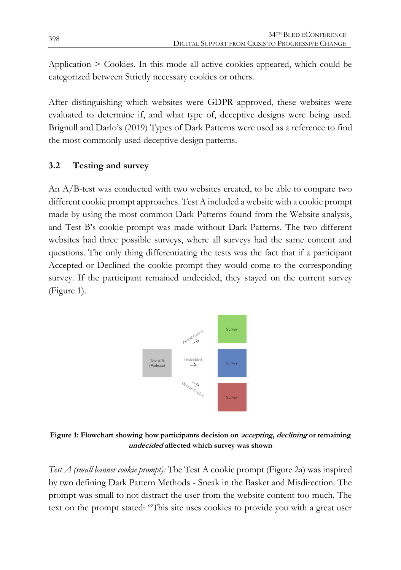Application > Cookies. In this mode all active cookies appeared, which could be categorized between Strictly necessary cookies or others.

After distinguishing which websites were GDPR approved, these websites were evaluated to determine if, and what type of, deceptive designs were being used. Brignull and Darlo's (2019) Types of Dark Patterns were used as a reference to find the most commonly used deceptive design patterns.

### **3.2 Testing and survey**

An A/B-test was conducted with two websites created, to be able to compare two different cookie prompt approaches. Test A included a website with a cookie prompt made by using the most common Dark Patterns found from the Website analysis, and Test B's cookie prompt was made without Dark Patterns. The two different websites had three possible surveys, where all surveys had the same content and questions. The only thing differentiating the tests was the fact that if a participant Accepted or Declined the cookie prompt they would come to the corresponding survey. If the participant remained undecided, they stayed on the current survey (Figure 1).



**Figure 1: Flowchart showing how participants decision on accepting, declining or remaining undecided affected which survey was shown**

*Test A (small banner cookie prompt):* The Test A cookie prompt (Figure 2a) was inspired by two defining Dark Pattern Methods - Sneak in the Basket and Misdirection. The prompt was small to not distract the user from the website content too much. The text on the prompt stated: "This site uses cookies to provide you with a great user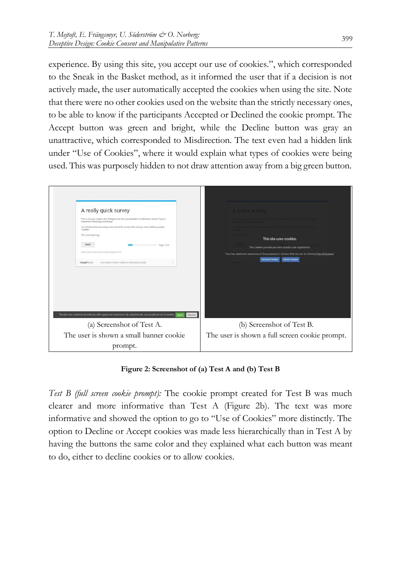experience. By using this site, you accept our use of cookies.", which corresponded to the Sneak in the Basket method, as it informed the user that if a decision is not actively made, the user automatically accepted the cookies when using the site. Note that there were no other cookies used on the website than the strictly necessary ones, to be able to know if the participants Accepted or Declined the cookie prompt. The Accept button was green and bright, while the Decline button was gray an unattractive, which corresponded to Misdirection. The text even had a hidden link under "Use of Cookies", where it would explain what types of cookies were being used. This was purposely hidden to not draw attention away from a big green button.



**Figure 2: Screenshot of (a) Test A and (b) Test B**

*Test B (full screen cookie prompt):* The cookie prompt created for Test B was much clearer and more informative than Test A (Figure 2b). The text was more informative and showed the option to go to "Use of Cookies" more distinctly. The option to Decline or Accept cookies was made less hierarchically than in Test A by having the buttons the same color and they explained what each button was meant to do, either to decline cookies or to allow cookies.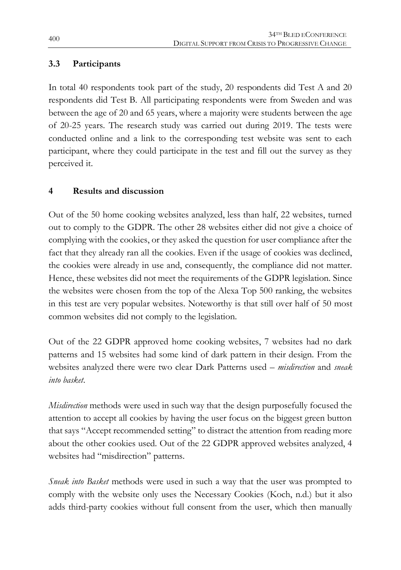### **3.3 Participants**

In total 40 respondents took part of the study, 20 respondents did Test A and 20 respondents did Test B. All participating respondents were from Sweden and was between the age of 20 and 65 years, where a majority were students between the age of 20-25 years. The research study was carried out during 2019. The tests were conducted online and a link to the corresponding test website was sent to each participant, where they could participate in the test and fill out the survey as they perceived it.

#### **4 Results and discussion**

Out of the 50 home cooking websites analyzed, less than half, 22 websites, turned out to comply to the GDPR. The other 28 websites either did not give a choice of complying with the cookies, or they asked the question for user compliance after the fact that they already ran all the cookies. Even if the usage of cookies was declined, the cookies were already in use and, consequently, the compliance did not matter. Hence, these websites did not meet the requirements of the GDPR legislation. Since the websites were chosen from the top of the Alexa Top 500 ranking, the websites in this test are very popular websites. Noteworthy is that still over half of 50 most common websites did not comply to the legislation.

Out of the 22 GDPR approved home cooking websites, 7 websites had no dark patterns and 15 websites had some kind of dark pattern in their design. From the websites analyzed there were two clear Dark Patterns used – *misdirection* and *sneak into basket*.

*Misdirection* methods were used in such way that the design purposefully focused the attention to accept all cookies by having the user focus on the biggest green button that says "Accept recommended setting" to distract the attention from reading more about the other cookies used. Out of the 22 GDPR approved websites analyzed, 4 websites had "misdirection" patterns.

*Sneak into Basket* methods were used in such a way that the user was prompted to comply with the website only uses the Necessary Cookies (Koch, n.d.) but it also adds third-party cookies without full consent from the user, which then manually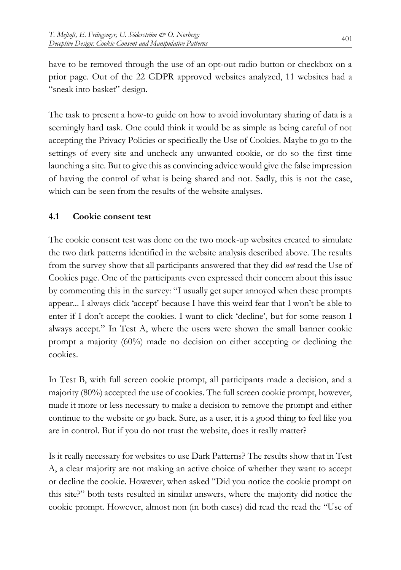have to be removed through the use of an opt-out radio button or checkbox on a prior page. Out of the 22 GDPR approved websites analyzed, 11 websites had a "sneak into basket" design.

The task to present a how-to guide on how to avoid involuntary sharing of data is a seemingly hard task. One could think it would be as simple as being careful of not accepting the Privacy Policies or specifically the Use of Cookies. Maybe to go to the settings of every site and uncheck any unwanted cookie, or do so the first time launching a site. But to give this as convincing advice would give the false impression of having the control of what is being shared and not. Sadly, this is not the case, which can be seen from the results of the website analyses.

#### **4.1 Cookie consent test**

The cookie consent test was done on the two mock-up websites created to simulate the two dark patterns identified in the website analysis described above. The results from the survey show that all participants answered that they did *not* read the Use of Cookies page. One of the participants even expressed their concern about this issue by commenting this in the survey: "I usually get super annoyed when these prompts appear... I always click 'accept' because I have this weird fear that I won't be able to enter if I don't accept the cookies. I want to click 'decline', but for some reason I always accept." In Test A, where the users were shown the small banner cookie prompt a majority (60%) made no decision on either accepting or declining the cookies.

In Test B, with full screen cookie prompt, all participants made a decision, and a majority (80%) accepted the use of cookies. The full screen cookie prompt, however, made it more or less necessary to make a decision to remove the prompt and either continue to the website or go back. Sure, as a user, it is a good thing to feel like you are in control. But if you do not trust the website, does it really matter?

Is it really necessary for websites to use Dark Patterns? The results show that in Test A, a clear majority are not making an active choice of whether they want to accept or decline the cookie. However, when asked "Did you notice the cookie prompt on this site?" both tests resulted in similar answers, where the majority did notice the cookie prompt. However, almost non (in both cases) did read the read the "Use of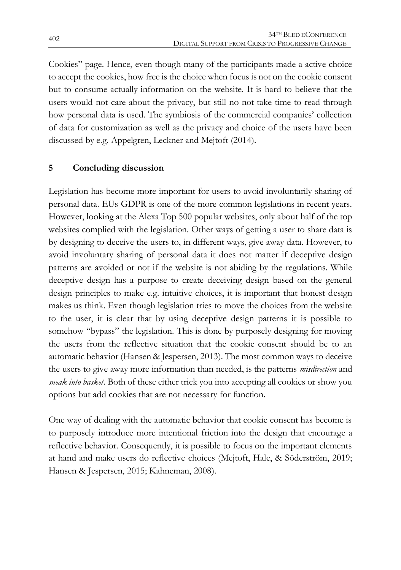Cookies" page. Hence, even though many of the participants made a active choice to accept the cookies, how free is the choice when focus is not on the cookie consent but to consume actually information on the website. It is hard to believe that the users would not care about the privacy, but still no not take time to read through how personal data is used. The symbiosis of the commercial companies' collection of data for customization as well as the privacy and choice of the users have been discussed by e.g. Appelgren, Leckner and Mejtoft (2014).

#### **5 Concluding discussion**

Legislation has become more important for users to avoid involuntarily sharing of personal data. EUs GDPR is one of the more common legislations in recent years. However, looking at the Alexa Top 500 popular websites, only about half of the top websites complied with the legislation. Other ways of getting a user to share data is by designing to deceive the users to, in different ways, give away data. However, to avoid involuntary sharing of personal data it does not matter if deceptive design patterns are avoided or not if the website is not abiding by the regulations. While deceptive design has a purpose to create deceiving design based on the general design principles to make e.g. intuitive choices, it is important that honest design makes us think. Even though legislation tries to move the choices from the website to the user, it is clear that by using deceptive design patterns it is possible to somehow "bypass" the legislation. This is done by purposely designing for moving the users from the reflective situation that the cookie consent should be to an automatic behavior (Hansen & Jespersen, 2013). The most common ways to deceive the users to give away more information than needed, is the patterns *misdirection* and *sneak into basket*. Both of these either trick you into accepting all cookies or show you options but add cookies that are not necessary for function.

One way of dealing with the automatic behavior that cookie consent has become is to purposely introduce more intentional friction into the design that encourage a reflective behavior. Consequently, it is possible to focus on the important elements at hand and make users do reflective choices (Mejtoft, Hale, & Söderström, 2019; Hansen & Jespersen, 2015; Kahneman, 2008).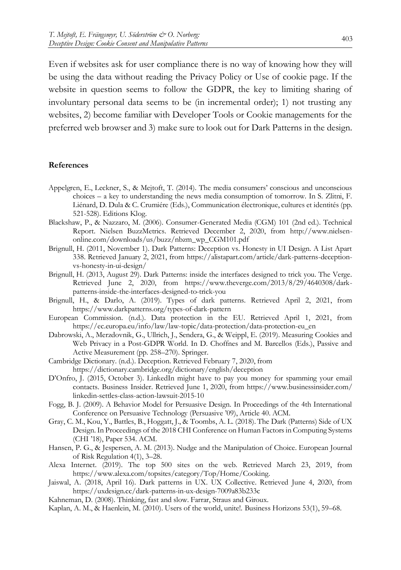Even if websites ask for user compliance there is no way of knowing how they will be using the data without reading the Privacy Policy or Use of cookie page. If the website in question seems to follow the GDPR, the key to limiting sharing of involuntary personal data seems to be (in incremental order); 1) not trusting any websites, 2) become familiar with Developer Tools or Cookie managements for the preferred web browser and 3) make sure to look out for Dark Patterns in the design.

#### **References**

- Appelgren, E., Leckner, S., & Mejtoft, T. (2014). The media consumers' conscious and unconscious choices – a key to understanding the news media consumption of tomorrow. In S. Zlitni, F. Liénard, D. Dula & C. Crumiére (Eds.), Communication électronique, cultures et identités (pp. 521-528). Editions Klog.
- Blackshaw, P., & Nazzaro, M. (2006). Consumer-Generated Media (CGM) 101 (2nd ed.). Technical Report. Nielsen BuzzMetrics. Retrieved December 2, 2020, from http://www.nielsenonline.com/downloads/us/buzz/nbzm\_wp\_CGM101.pdf
- Brignull, H. (2011, November 1). Dark Patterns: Deception vs. Honesty in UI Design. A List Apart 338. Retrieved January 2, 2021, from https://alistapart.com/article/dark-patterns-deceptionvs-honesty-in-ui-design/
- Brignull, H. (2013, August 29). Dark Patterns: inside the interfaces designed to trick you. The Verge. Retrieved June 2, 2020, from https://www.theverge.com/2013/8/29/4640308/darkpatterns-inside-the-interfaces-designed-to-trick-you
- Brignull, H., & Darlo, A. (2019). Types of dark patterns. Retrieved April 2, 2021, from https://www.darkpatterns.org/types-of-dark-pattern
- European Commission. (n.d.). Data protection in the EU. Retrieved April 1, 2021, from https://ec.europa.eu/info/law/law-topic/data-protection/data-protection-eu\_en
- Dabrowski, A., Merzdovnik, G., Ullrich, J., Sendera, G., & Weippl, E. (2019). Measuring Cookies and Web Privacy in a Post-GDPR World. In D. Choffnes and M. Barcellos (Eds.), Passive and Active Measurement (pp. 258–270). Springer.
- Cambridge Dictionary. (n.d.). Deception. Retrieved February 7, 2020, from https://dictionary.cambridge.org/dictionary/english/deception
- D'Onfro, J. (2015, October 3). LinkedIn might have to pay you money for spamming your email contacts. Business Insider. Retrieved June 1, 2020, from https://www.businessinsider.com/ linkedin-settles-class-action-lawsuit-2015-10
- Fogg, B. J. (2009). A Behavior Model for Persuasive Design. In Proceedings of the 4th International Conference on Persuasive Technology (Persuasive '09), Article 40. ACM.
- Gray, C. M., Kou, Y., Battles, B., Hoggatt, J., & Toombs, A. L. (2018). The Dark (Patterns) Side of UX Design. In Proceedings of the 2018 CHI Conference on Human Factors in Computing Systems (CHI '18), Paper 534. ACM.
- Hansen, P. G., & Jespersen, A. M. (2013). Nudge and the Manipulation of Choice. European Journal of Risk Regulation 4(1), 3–28.
- Alexa Internet. (2019). The top 500 sites on the web. Retrieved March 23, 2019, from https://www.alexa.com/topsites/category/Top/Home/Cooking.
- Jaiswal, A. (2018, April 16). Dark patterns in UX. UX Collective. Retrieved June 4, 2020, from https://uxdesign.cc/dark-patterns-in-ux-design-7009a83b233c
- Kahneman, D. (2008). Thinking, fast and slow. Farrar, Straus and Giroux.
- Kaplan, A. M., & Haenlein, M. (2010). Users of the world, unite!. Business Horizons 53(1), 59–68.